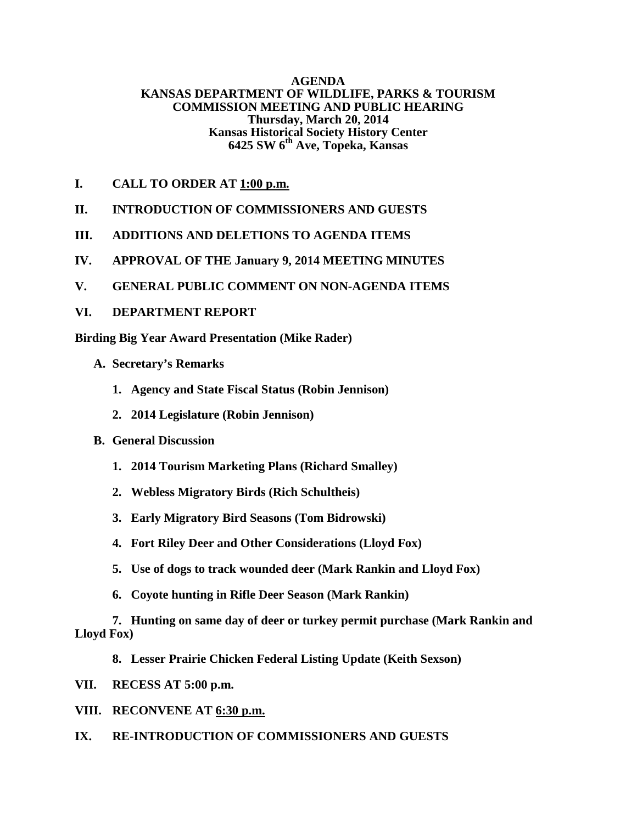### **AGENDA KANSAS DEPARTMENT OF WILDLIFE, PARKS & TOURISM COMMISSION MEETING AND PUBLIC HEARING Thursday, March 20, 2014 Kansas Historical Society History Center 6425 SW 6th Ave, Topeka, Kansas**

- **I. CALL TO ORDER AT 1:00 p.m.**
- **II. INTRODUCTION OF COMMISSIONERS AND GUESTS**
- **III. ADDITIONS AND DELETIONS TO AGENDA ITEMS**
- **IV. APPROVAL OF THE January 9, 2014 MEETING MINUTES**
- **V. GENERAL PUBLIC COMMENT ON NON-AGENDA ITEMS**
- **VI. DEPARTMENT REPORT**

**Birding Big Year Award Presentation (Mike Rader)**

- **A. Secretary's Remarks**
	- **1. Agency and State Fiscal Status (Robin Jennison)**
	- **2. 2014 Legislature (Robin Jennison)**
- **B. General Discussion** 
	- **1. 2014 Tourism Marketing Plans (Richard Smalley)**
	- **2. Webless Migratory Birds (Rich Schultheis)**
	- **3. Early Migratory Bird Seasons (Tom Bidrowski)**
	- **4. Fort Riley Deer and Other Considerations (Lloyd Fox)**
	- **5. Use of dogs to track wounded deer (Mark Rankin and Lloyd Fox)**
	- **6. Coyote hunting in Rifle Deer Season (Mark Rankin)**

**7. Hunting on same day of deer or turkey permit purchase (Mark Rankin and Lloyd Fox)**

- **8. Lesser Prairie Chicken Federal Listing Update (Keith Sexson)**
- **VII. RECESS AT 5:00 p.m.**
- **VIII. RECONVENE AT 6:30 p.m.**
- **IX. RE-INTRODUCTION OF COMMISSIONERS AND GUESTS**